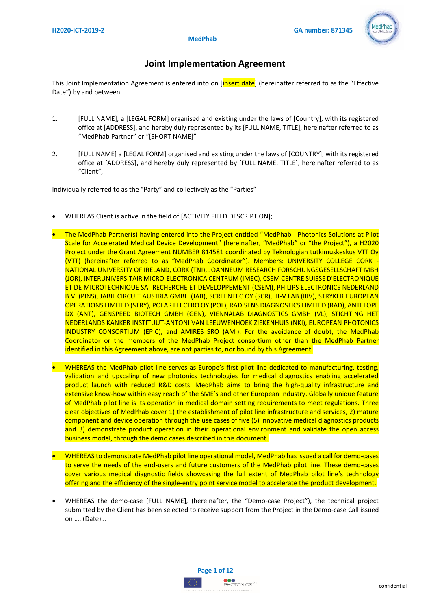

# **Joint Implementation Agreement**

This Joint Implementation Agreement is entered into on [insert date] (hereinafter referred to as the "Effective Date") by and between

- 1. [FULL NAME], a [LEGAL FORM] organised and existing under the laws of [Country], with its registered office at [ADDRESS], and hereby duly represented by its [FULL NAME, TITLE], hereinafter referred to as "MedPhab Partner" or "[SHORT NAME]"
- 2. [FULL NAME] a [LEGAL FORM] organised and existing under the laws of [COUNTRY], with its registered office at [ADDRESS], and hereby duly represented by [FULL NAME, TITLE], hereinafter referred to as "Client",

Individually referred to as the "Party" and collectively as the "Parties"

- WHEREAS Client is active in the field of [ACTIVITY FIELD DESCRIPTION];
- The MedPhab Partner(s) having entered into the Project entitled "MedPhab Photonics Solutions at Pilot Scale for Accelerated Medical Device Development" (hereinafter, "MedPhab" or "the Project"), a H2020 Project under the Grant Agreement NUMBER 814581 coordinated by Teknologian tutkimuskeskus VTT Oy (VTT) (hereinafter referred to as "MedPhab Coordinator"). Members: UNIVERSITY COLLEGE CORK - NATIONAL UNIVERSITY OF IRELAND, CORK (TNI), JOANNEUM RESEARCH FORSCHUNGSGESELLSCHAFT MBH (JOR), INTERUNIVERSITAIR MICRO-ELECTRONICA CENTRUM (IMEC), CSEM CENTRE SUISSE D'ELECTRONIQUE ET DE MICROTECHNIQUE SA -RECHERCHE ET DEVELOPPEMENT (CSEM), PHILIPS ELECTRONICS NEDERLAND B.V. (PINS), JABIL CIRCUIT AUSTRIA GMBH (JAB), SCREENTEC OY (SCR), III-V LAB (IIIV), STRYKER EUROPEAN OPERATIONS LIMITED (STRY), POLAR ELECTRO OY (POL), RADISENS DIAGNOSTICS LIMITED (RAD), ANTELOPE DX (ANT), GENSPEED BIOTECH GMBH (GEN), VIENNALAB DIAGNOSTICS GMBH (VL), STICHTING HET NEDERLANDS KANKER INSTITUUT-ANTONI VAN LEEUWENHOEK ZIEKENHUIS (NKI), EUROPEAN PHOTONICS INDUSTRY CONSORTIUM (EPIC), and AMIRES SRO (AMI). For the avoidance of doubt, the MedPhab Coordinator or the members of the MedPhab Project consortium other than the MedPhab Partner identified in this Agreement above, are not parties to, nor bound by this Agreement.
- WHEREAS the MedPhab pilot line serves as Europe's first pilot line dedicated to manufacturing, testing, validation and upscaling of new photonics technologies for medical diagnostics enabling accelerated product launch with reduced R&D costs. MedPhab aims to bring the high-quality infrastructure and extensive know-how within easy reach of the SME's and other European Industry. Globally unique feature of MedPhab pilot line is its operation in medical domain setting requirements to meet regulations. Three clear objectives of MedPhab cover 1) the establishment of pilot line infrastructure and services, 2) mature component and device operation through the use cases of five (5) innovative medical diagnostics products and 3) demonstrate product operation in their operational environment and validate the open access business model, through the demo cases described in this document.
- WHEREAS to demonstrate MedPhab pilot line operational model, MedPhab has issued a call for demo-cases to serve the needs of the end-users and future customers of the MedPhab pilot line. These demo-cases cover various medical diagnostic fields showcasing the full extent of MedPhab pilot line's technology offering and the efficiency of the single-entry point service model to accelerate the product development.
- WHEREAS the demo-case [FULL NAME]*,* (hereinafter, the "Demo-case Project"), the technical project submitted by the Client has been selected to receive support from the Project in the Demo-case Call issued on …. (Date)…

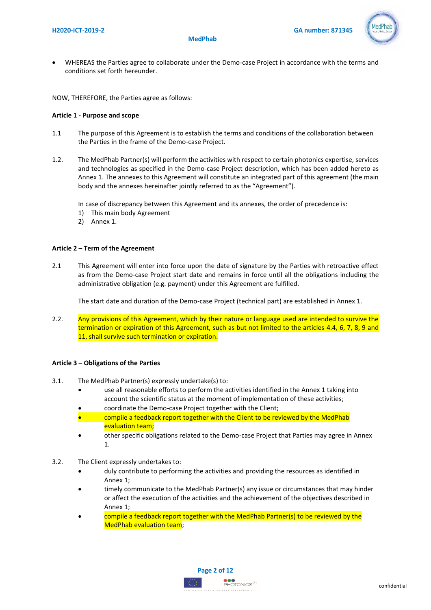

• WHEREAS the Parties agree to collaborate under the Demo-case Project in accordance with the terms and conditions set forth hereunder.

NOW, THEREFORE, the Parties agree as follows:

# **Article 1 - Purpose and scope**

- 1.1 The purpose of this Agreement is to establish the terms and conditions of the collaboration between the Parties in the frame of the Demo-case Project.
- 1.2. The MedPhab Partner(s) will perform the activities with respect to certain photonics expertise, services and technologies as specified in the Demo-case Project description, which has been added hereto as Annex 1. The annexes to this Agreement will constitute an integrated part of this agreement (the main body and the annexes hereinafter jointly referred to as the "Agreement").

In case of discrepancy between this Agreement and its annexes, the order of precedence is:

- 1) This main body Agreement
- 2) Annex 1.

# **Article 2 – Term of the Agreement**

2.1 This Agreement will enter into force upon the date of signature by the Parties with retroactive effect as from the Demo-case Project start date and remains in force until all the obligations including the administrative obligation (e.g. payment) under this Agreement are fulfilled.

The start date and duration of the Demo-case Project (technical part) are established in Annex 1.

2.2. Any provisions of this Agreement, which by their nature or language used are intended to survive the termination or expiration of this Agreement, such as but not limited to the articles 4.4, 6, 7, 8, 9 and 11, shall survive such termination or expiration.

### **Article 3 – Obligations of the Parties**

- 3.1. The MedPhab Partner(s) expressly undertake(s) to:
	- use all reasonable efforts to perform the activities identified in the Annex 1 taking into account the scientific status at the moment of implementation of these activities;
	- coordinate the Demo-case Project together with the Client;
	- compile a feedback report together with the Client to be reviewed by the MedPhab evaluation team;
	- other specific obligations related to the Demo-case Project that Parties may agree in Annex 1.
- 3.2. The Client expressly undertakes to:
	- duly contribute to performing the activities and providing the resources as identified in Annex 1;
	- timely communicate to the MedPhab Partner(s) any issue or circumstances that may hinder or affect the execution of the activities and the achievement of the objectives described in Annex 1;
	- compile a feedback report together with the MedPhab Partner(s) to be reviewed by the MedPhab evaluation team;



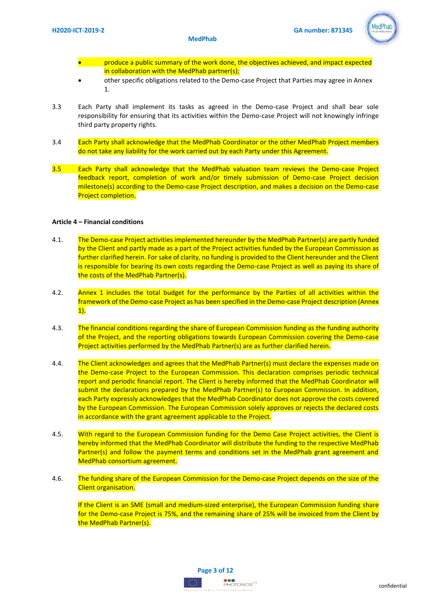

- produce a public summary of the work done, the objectives achieved, and impact expected in collaboration with the MedPhab partner(s);
- other specific obligations related to the Demo-case Project that Parties may agree in Annex 1.
- 3.3 Each Party shall implement its tasks as agreed in the Demo-case Project and shall bear sole responsibility for ensuring that its activities within the Demo-case Project will not knowingly infringe third party property rights.
- 3.4 Each Party shall acknowledge that the MedPhab Coordinator or the other MedPhab Project members do not take any liability for the work carried out by each Party under this Agreement.
- 3.5 Each Party shall acknowledge that the MedPhab valuation team reviews the Demo-case Project feedback report, completion of work and/or timely submission of Demo-case Project decision milestone(s) according to the Demo-case Project description, and makes a decision on the Demo-case Project completion.

### **Article 4 – Financial conditions**

- 4.1. The Demo-case Project activities implemented hereunder by the MedPhab Partner(s) are partly funded by the Client and partly made as a part of the Project activities funded by the European Commission as further clarified herein. For sake of clarity, no funding is provided to the Client hereunder and the Client is responsible for bearing its own costs regarding the Demo-case Project as well as paying its share of the costs of the MedPhab Partner(s).
- 4.2. Annex 1 includes the total budget for the performance by the Parties of all activities within the framework of the Demo-case Project as has been specified in the Demo-case Project description (Annex  $1$ ).
- 4.3. The financial conditions regarding the share of European Commission funding as the funding authority of the Project, and the reporting obligations towards European Commission covering the Demo-case Project activities performed by the MedPhab Partner(s) are as further clarified herein.
- 4.4. The Client acknowledges and agrees that the MedPhab Partner(s) must declare the expenses made on the Demo-case Project to the European Commission. This declaration comprises periodic technical report and periodic financial report. The Client is hereby informed that the MedPhab Coordinator will submit the declarations prepared by the MedPhab Partner(s) to European Commission. In addition, each Party expressly acknowledges that the MedPhab Coordinator does not approve the costs covered by the European Commission. The European Commission solely approves or rejects the declared costs in accordance with the grant agreement applicable to the Project.
- 4.5. With regard to the European Commission funding for the Demo Case Project activities, the Client is hereby informed that the MedPhab Coordinator will distribute the funding to the respective MedPhab Partner(s) and follow the payment terms and conditions set in the MedPhab grant agreement and MedPhab consortium agreement.
- 4.6. The funding share of the European Commission for the Demo-case Project depends on the size of the Client organisation.

If the Client is an SME (small and medium-sized enterprise), the European Commission funding share for the Demo-case Project is 75%, and the remaining share of 25% will be invoiced from the Client by the MedPhab Partner(s).

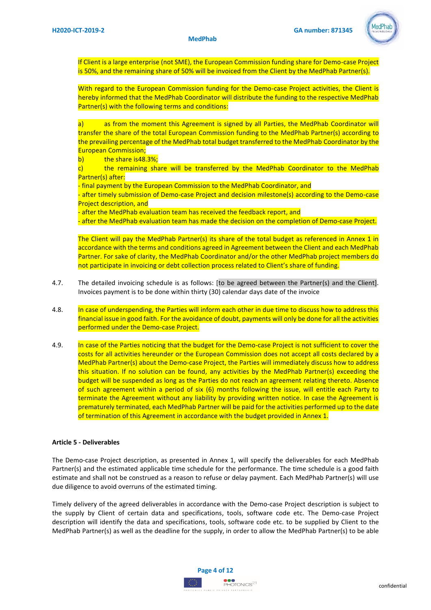

If Client is a large enterprise (not SME), the European Commission funding share for Demo-case Project is 50%, and the remaining share of 50% will be invoiced from the Client by the MedPhab Partner(s).

With regard to the European Commission funding for the Demo-case Project activities, the Client is hereby informed that the MedPhab Coordinator will distribute the funding to the respective MedPhab Partner(s) with the following terms and conditions:

a) as from the moment this Agreement is signed by all Parties, the MedPhab Coordinator will transfer the share of the total European Commission funding to the MedPhab Partner(s) according to the prevailing percentage of the MedPhab total budget transferred to the MedPhab Coordinator by the European Commission;

b) the share is48.3%;

c) the remaining share will be transferred by the MedPhab Coordinator to the MedPhab Partner(s) after:

- final payment by the European Commission to the MedPhab Coordinator, and

- after timely submission of Demo-case Project and decision milestone(s) according to the Demo-case Project description, and

- after the MedPhab evaluation team has received the feedback report, and

- after the MedPhab evaluation team has made the decision on the completion of Demo-case Project.

The Client will pay the MedPhab Partner(s) its share of the total budget as referenced in Annex 1 in accordance with the terms and conditions agreed in Agreement between the Client and each MedPhab Partner. For sake of clarity, the MedPhab Coordinator and/or the other MedPhab project members do not participate in invoicing or debt collection process related to Client's share of funding.

- 4.7. The detailed invoicing schedule is as follows: [to be agreed between the Partner(s) and the Client]. Invoices payment is to be done within thirty (30) calendar days date of the invoice
- 4.8. In case of underspending, the Parties will inform each other in due time to discuss how to address this financial issue in good faith. For the avoidance of doubt, payments will only be done for all the activities performed under the Demo-case Project.
- 4.9. In case of the Parties noticing that the budget for the Demo-case Project is not sufficient to cover the costs for all activities hereunder or the European Commission does not accept all costs declared by a MedPhab Partner(s) about the Demo-case Project, the Parties will immediately discuss how to address this situation. If no solution can be found, any activities by the MedPhab Partner(s) exceeding the budget will be suspended as long as the Parties do not reach an agreement relating thereto. Absence of such agreement within a period of six (6) months following the issue, will entitle each Party to terminate the Agreement without any liability by providing written notice. In case the Agreement is prematurely terminated, each MedPhab Partner will be paid for the activities performed up to the date of termination of this Agreement in accordance with the budget provided in Annex 1.

# **Article 5 - Deliverables**

The Demo-case Project description, as presented in Annex 1, will specify the deliverables for each MedPhab Partner(s) and the estimated applicable time schedule for the performance. The time schedule is a good faith estimate and shall not be construed as a reason to refuse or delay payment. Each MedPhab Partner(s) will use due diligence to avoid overruns of the estimated timing.

Timely delivery of the agreed deliverables in accordance with the Demo-case Project description is subject to the supply by Client of certain data and specifications, tools, software code etc. The Demo-case Project description will identify the data and specifications, tools, software code etc. to be supplied by Client to the MedPhab Partner(s) as well as the deadline for the supply, in order to allow the MedPhab Partner(s) to be able

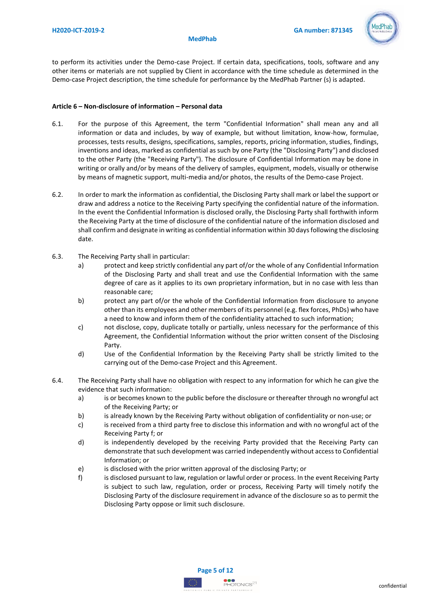

to perform its activities under the Demo-case Project. If certain data, specifications, tools, software and any other items or materials are not supplied by Client in accordance with the time schedule as determined in the Demo-case Project description, the time schedule for performance by the MedPhab Partner (s) is adapted.

# **Article 6 – Non-disclosure of information – Personal data**

- 6.1. For the purpose of this Agreement, the term "Confidential Information" shall mean any and all information or data and includes, by way of example, but without limitation, know-how, formulae, processes, tests results, designs, specifications, samples, reports, pricing information, studies, findings, inventions and ideas, marked as confidential as such by one Party (the "Disclosing Party") and disclosed to the other Party (the "Receiving Party"). The disclosure of Confidential Information may be done in writing or orally and/or by means of the delivery of samples, equipment, models, visually or otherwise by means of magnetic support, multi-media and/or photos, the results of the Demo-case Project.
- 6.2. In order to mark the information as confidential, the Disclosing Party shall mark or label the support or draw and address a notice to the Receiving Party specifying the confidential nature of the information. In the event the Confidential Information is disclosed orally, the Disclosing Party shall forthwith inform the Receiving Party at the time of disclosure of the confidential nature of the information disclosed and shall confirm and designate in writing as confidential information within 30 days following the disclosing date.
- 6.3. The Receiving Party shall in particular:
	- a) protect and keep strictly confidential any part of/or the whole of any Confidential Information of the Disclosing Party and shall treat and use the Confidential Information with the same degree of care as it applies to its own proprietary information, but in no case with less than reasonable care;
	- b) protect any part of/or the whole of the Confidential Information from disclosure to anyone other than its employees and other members of its personnel (e.g. flex forces, PhDs) who have a need to know and inform them of the confidentiality attached to such information;
	- c) not disclose, copy, duplicate totally or partially, unless necessary for the performance of this Agreement, the Confidential Information without the prior written consent of the Disclosing Party.
	- d) Use of the Confidential Information by the Receiving Party shall be strictly limited to the carrying out of the Demo-case Project and this Agreement.
- 6.4. The Receiving Party shall have no obligation with respect to any information for which he can give the evidence that such information:
	- a) is or becomes known to the public before the disclosure or thereafter through no wrongful act of the Receiving Party; or
	- b) is already known by the Receiving Party without obligation of confidentiality or non-use; or
	- c) is received from a third party free to disclose this information and with no wrongful act of the Receiving Party f; or
	- d) is independently developed by the receiving Party provided that the Receiving Party can demonstrate that such development was carried independently without access to Confidential Information; or
	- e) is disclosed with the prior written approval of the disclosing Party; or
	- f) is disclosed pursuant to law, regulation or lawful order or process. In the event Receiving Party is subject to such law, regulation, order or process, Receiving Party will timely notify the Disclosing Party of the disclosure requirement in advance of the disclosure so as to permit the Disclosing Party oppose or limit such disclosure.

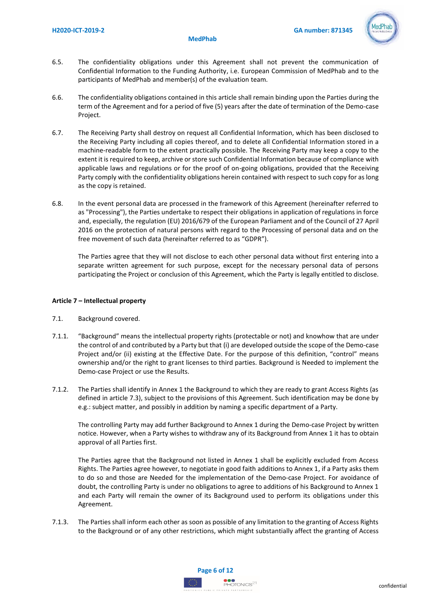

- 6.5. The confidentiality obligations under this Agreement shall not prevent the communication of Confidential Information to the Funding Authority, i.e. European Commission of MedPhab and to the participants of MedPhab and member(s) of the evaluation team.
- 6.6. The confidentiality obligations contained in this article shall remain binding upon the Parties during the term of the Agreement and for a period of five (5) years after the date of termination of the Demo-case Project.
- 6.7. The Receiving Party shall destroy on request all Confidential Information, which has been disclosed to the Receiving Party including all copies thereof, and to delete all Confidential Information stored in a machine-readable form to the extent practically possible. The Receiving Party may keep a copy to the extent it is required to keep, archive or store such Confidential Information because of compliance with applicable laws and regulations or for the proof of on-going obligations, provided that the Receiving Party comply with the confidentiality obligations herein contained with respect to such copy for as long as the copy is retained.
- 6.8. In the event personal data are processed in the framework of this Agreement (hereinafter referred to as "Processing"), the Parties undertake to respect their obligations in application of regulations in force and, especially, the regulation (EU) 2016/679 of the European Parliament and of the Council of 27 April 2016 on the protection of natural persons with regard to the Processing of personal data and on the free movement of such data (hereinafter referred to as "GDPR").

The Parties agree that they will not disclose to each other personal data without first entering into a separate written agreement for such purpose, except for the necessary personal data of persons participating the Project or conclusion of this Agreement, which the Party is legally entitled to disclose.

# **Article 7 – Intellectual property**

- 7.1. Background covered.
- 7.1.1. "Background" means the intellectual property rights (protectable or not) and knowhow that are under the control of and contributed by a Party but that (i) are developed outside the scope of the Demo-case Project and/or (ii) existing at the Effective Date. For the purpose of this definition, "control" means ownership and/or the right to grant licenses to third parties. Background is Needed to implement the Demo-case Project or use the Results.
- 7.1.2. The Parties shall identify in Annex 1 the Background to which they are ready to grant Access Rights (as defined in article 7.3), subject to the provisions of this Agreement. Such identification may be done by e.g.: subject matter, and possibly in addition by naming a specific department of a Party.

The controlling Party may add further Background to Annex 1 during the Demo-case Project by written notice. However, when a Party wishes to withdraw any of its Background from Annex 1 it has to obtain approval of all Parties first.

The Parties agree that the Background not listed in Annex 1 shall be explicitly excluded from Access Rights. The Parties agree however, to negotiate in good faith additions to Annex 1, if a Party asks them to do so and those are Needed for the implementation of the Demo-case Project. For avoidance of doubt, the controlling Party is under no obligations to agree to additions of his Background to Annex 1 and each Party will remain the owner of its Background used to perform its obligations under this Agreement.

7.1.3. The Parties shall inform each other as soon as possible of any limitation to the granting of Access Rights to the Background or of any other restrictions, which might substantially affect the granting of Access

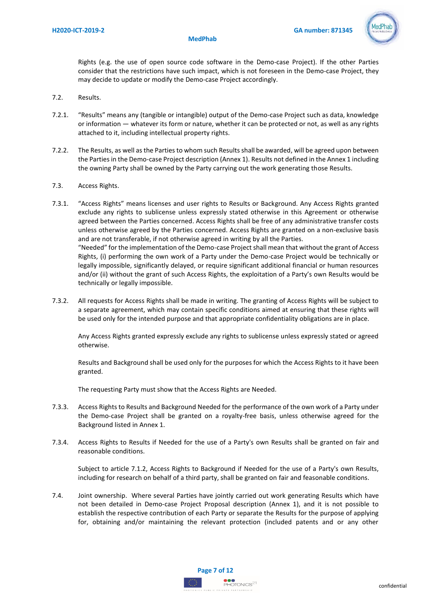

Rights (e.g. the use of open source code software in the Demo-case Project). If the other Parties consider that the restrictions have such impact, which is not foreseen in the Demo-case Project, they may decide to update or modify the Demo-case Project accordingly.

- 7.2. Results.
- 7.2.1. "Results" means any (tangible or intangible) output of the Demo-case Project such as data, knowledge or information — whatever its form or nature, whether it can be protected or not, as well as any rights attached to it, including intellectual property rights.
- 7.2.2. The Results, as well as the Parties to whom such Results shall be awarded, will be agreed upon between the Parties in the Demo-case Project description (Annex 1). Results not defined in the Annex 1 including the owning Party shall be owned by the Party carrying out the work generating those Results.
- 7.3. Access Rights.
- 7.3.1. "Access Rights" means licenses and user rights to Results or Background. Any Access Rights granted exclude any rights to sublicense unless expressly stated otherwise in this Agreement or otherwise agreed between the Parties concerned. Access Rights shall be free of any administrative transfer costs unless otherwise agreed by the Parties concerned. Access Rights are granted on a non-exclusive basis and are not transferable, if not otherwise agreed in writing by all the Parties. "Needed" for the implementation of the Demo-case Project shall mean that without the grant of Access Rights, (i) performing the own work of a Party under the Demo-case Project would be technically or legally impossible, significantly delayed, or require significant additional financial or human resources and/or (ii) without the grant of such Access Rights, the exploitation of a Party's own Results would be technically or legally impossible.
- 7.3.2. All requests for Access Rights shall be made in writing. The granting of Access Rights will be subject to a separate agreement, which may contain specific conditions aimed at ensuring that these rights will be used only for the intended purpose and that appropriate confidentiality obligations are in place.

Any Access Rights granted expressly exclude any rights to sublicense unless expressly stated or agreed otherwise.

Results and Background shall be used only for the purposes for which the Access Rights to it have been granted.

The requesting Party must show that the Access Rights are Needed.

- 7.3.3. Access Rights to Results and Background Needed for the performance of the own work of a Party under the Demo-case Project shall be granted on a royalty-free basis, unless otherwise agreed for the Background listed in Annex 1.
- 7.3.4. Access Rights to Results if Needed for the use of a Party's own Results shall be granted on fair and reasonable conditions.

Subject to article 7.1.2, Access Rights to Background if Needed for the use of a Party's own Results, including for research on behalf of a third party, shall be granted on fair and feasonable conditions.

7.4. Joint ownership. Where several Parties have jointly carried out work generating Results which have not been detailed in Demo-case Project Proposal description (Annex 1), and it is not possible to establish the respective contribution of each Party or separate the Results for the purpose of applying for, obtaining and/or maintaining the relevant protection (included patents and or any other

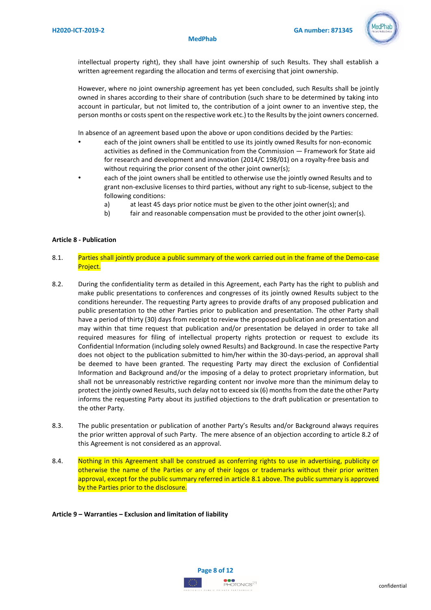

intellectual property right), they shall have joint ownership of such Results. They shall establish a written agreement regarding the allocation and terms of exercising that joint ownership.

However, where no joint ownership agreement has yet been concluded, such Results shall be jointly owned in shares according to their share of contribution (such share to be determined by taking into account in particular, but not limited to, the contribution of a joint owner to an inventive step, the person months or costs spent on the respective work etc.) to the Results by the joint owners concerned.

In absence of an agreement based upon the above or upon conditions decided by the Parties:

- each of the joint owners shall be entitled to use its jointly owned Results for non-economic activities as defined in the Communication from the Commission — Framework for State aid for research and development and innovation (2014/C 198/01) on a royalty-free basis and without requiring the prior consent of the other joint owner(s);
- each of the joint owners shall be entitled to otherwise use the jointly owned Results and to grant non-exclusive licenses to third parties, without any right to sub-license, subject to the following conditions:
	- a) at least 45 days prior notice must be given to the other joint owner(s); and
	- b) fair and reasonable compensation must be provided to the other joint owner(s).

### **Article 8 - Publication**

- 8.1. Parties shall jointly produce a public summary of the work carried out in the frame of the Demo-case Project.
- 8.2. During the confidentiality term as detailed in this Agreement, each Party has the right to publish and make public presentations to conferences and congresses of its jointly owned Results subject to the conditions hereunder. The requesting Party agrees to provide drafts of any proposed publication and public presentation to the other Parties prior to publication and presentation. The other Party shall have a period of thirty (30) days from receipt to review the proposed publication and presentation and may within that time request that publication and/or presentation be delayed in order to take all required measures for filing of intellectual property rights protection or request to exclude its Confidential Information (including solely owned Results) and Background. In case the respective Party does not object to the publication submitted to him/her within the 30-days-period, an approval shall be deemed to have been granted. The requesting Party may direct the exclusion of Confidential Information and Background and/or the imposing of a delay to protect proprietary information, but shall not be unreasonably restrictive regarding content nor involve more than the minimum delay to protect the jointly owned Results, such delay not to exceed six (6) months from the date the other Party informs the requesting Party about its justified objections to the draft publication or presentation to the other Party.
- 8.3. The public presentation or publication of another Party's Results and/or Background always requires the prior written approval of such Party. The mere absence of an objection according to article 8.2 of this Agreement is not considered as an approval.
- 8.4. Nothing in this Agreement shall be construed as conferring rights to use in advertising, publicity or otherwise the name of the Parties or any of their logos or trademarks without their prior written approval, except for the public summary referred in article 8.1 above. The public summary is approved by the Parties prior to the disclosure.

### **Article 9 – Warranties – Exclusion and limitation of liability**

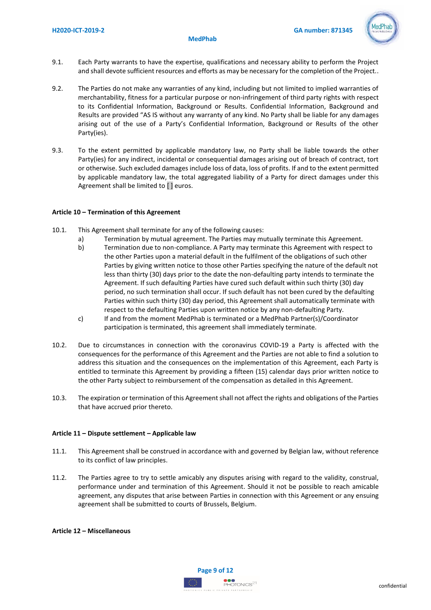

- 9.1. Each Party warrants to have the expertise, qualifications and necessary ability to perform the Project and shall devote sufficient resources and efforts as may be necessary for the completion of the Project..
- 9.2. The Parties do not make any warranties of any kind, including but not limited to implied warranties of merchantability, fitness for a particular purpose or non-infringement of third party rights with respect to its Confidential Information, Background or Results. Confidential Information, Background and Results are provided "AS IS without any warranty of any kind. No Party shall be liable for any damages arising out of the use of a Party's Confidential Information, Background or Results of the other Party(ies).
- 9.3. To the extent permitted by applicable mandatory law, no Party shall be liable towards the other Party(ies) for any indirect, incidental or consequential damages arising out of breach of contract, tort or otherwise. Such excluded damages include loss of data, loss of profits. If and to the extent permitted by applicable mandatory law, the total aggregated liability of a Party for direct damages under this Agreement shall be limited to [ ] euros.

# **Article 10 – Termination of this Agreement**

- 10.1. This Agreement shall terminate for any of the following causes:
	- a) Termination by mutual agreement. The Parties may mutually terminate this Agreement.
	- b) Termination due to non-compliance. A Party may terminate this Agreement with respect to the other Parties upon a material default in the fulfilment of the obligations of such other Parties by giving written notice to those other Parties specifying the nature of the default not less than thirty (30) days prior to the date the non-defaulting party intends to terminate the Agreement. If such defaulting Parties have cured such default within such thirty (30) day period, no such termination shall occur. If such default has not been cured by the defaulting Parties within such thirty (30) day period, this Agreement shall automatically terminate with respect to the defaulting Parties upon written notice by any non-defaulting Party.
	- c) If and from the moment MedPhab is terminated or a MedPhab Partner(s)/Coordinator participation is terminated, this agreement shall immediately terminate.
- 10.2. Due to circumstances in connection with the coronavirus COVID-19 a Party is affected with the consequences for the performance of this Agreement and the Parties are not able to find a solution to address this situation and the consequences on the implementation of this Agreement, each Party is entitled to terminate this Agreement by providing a fifteen (15) calendar days prior written notice to the other Party subject to reimbursement of the compensation as detailed in this Agreement.
- 10.3. The expiration or termination of this Agreement shall not affect the rights and obligations of the Parties that have accrued prior thereto.

# **Article 11 – Dispute settlement – Applicable law**

- 11.1. This Agreement shall be construed in accordance with and governed by Belgian law, without reference to its conflict of law principles.
- 11.2. The Parties agree to try to settle amicably any disputes arising with regard to the validity, construal, performance under and termination of this Agreement. Should it not be possible to reach amicable agreement, any disputes that arise between Parties in connection with this Agreement or any ensuing agreement shall be submitted to courts of Brussels, Belgium.

### **Article 12 – Miscellaneous**

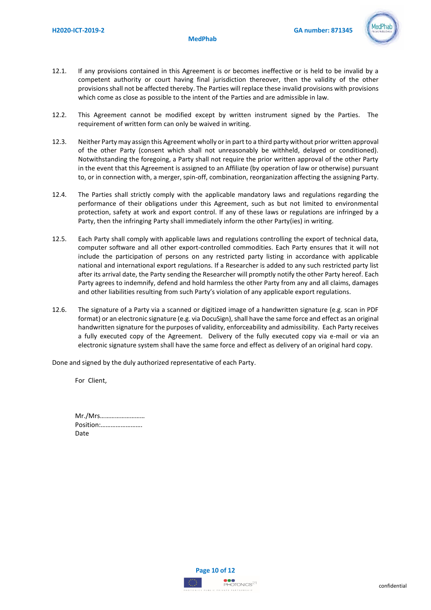

- 12.1. If any provisions contained in this Agreement is or becomes ineffective or is held to be invalid by a competent authority or court having final jurisdiction thereover, then the validity of the other provisions shall not be affected thereby. The Parties will replace these invalid provisions with provisions which come as close as possible to the intent of the Parties and are admissible in law.
- 12.2. This Agreement cannot be modified except by written instrument signed by the Parties. The requirement of written form can only be waived in writing.
- 12.3. Neither Party may assign this Agreement wholly or in part to a third party without prior written approval of the other Party (consent which shall not unreasonably be withheld, delayed or conditioned). Notwithstanding the foregoing, a Party shall not require the prior written approval of the other Party in the event that this Agreement is assigned to an Affiliate (by operation of law or otherwise) pursuant to, or in connection with, a merger, spin-off, combination, reorganization affecting the assigning Party.
- 12.4. The Parties shall strictly comply with the applicable mandatory laws and regulations regarding the performance of their obligations under this Agreement, such as but not limited to environmental protection, safety at work and export control. If any of these laws or regulations are infringed by a Party, then the infringing Party shall immediately inform the other Party(ies) in writing.
- 12.5. Each Party shall comply with applicable laws and regulations controlling the export of technical data, computer software and all other export-controlled commodities. Each Party ensures that it will not include the participation of persons on any restricted party listing in accordance with applicable national and international export regulations. If a Researcher is added to any such restricted party list after its arrival date, the Party sending the Researcher will promptly notify the other Party hereof. Each Party agrees to indemnify, defend and hold harmless the other Party from any and all claims, damages and other liabilities resulting from such Party's violation of any applicable export regulations.
- 12.6. The signature of a Party via a scanned or digitized image of a handwritten signature (e.g. scan in PDF format) or an electronic signature (e.g. via DocuSign), shall have the same force and effect as an original handwritten signature for the purposes of validity, enforceability and admissibility. Each Party receives a fully executed copy of the Agreement. Delivery of the fully executed copy via e-mail or via an electronic signature system shall have the same force and effect as delivery of an original hard copy.

Done and signed by the duly authorized representative of each Party.

For Client,

| Mr./Mrs   |
|-----------|
| Position: |
| Date      |

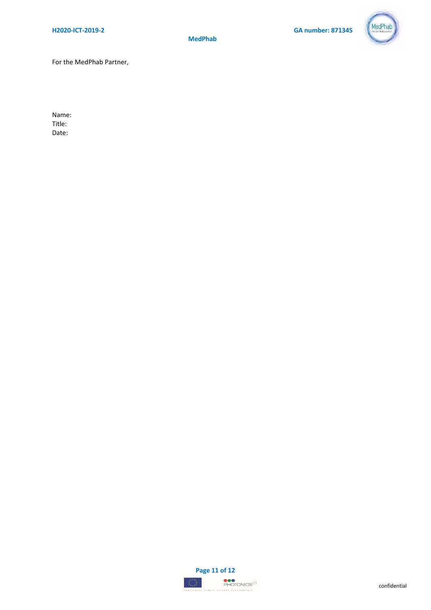

For the MedPhab Partner,

Name: Title: Date: